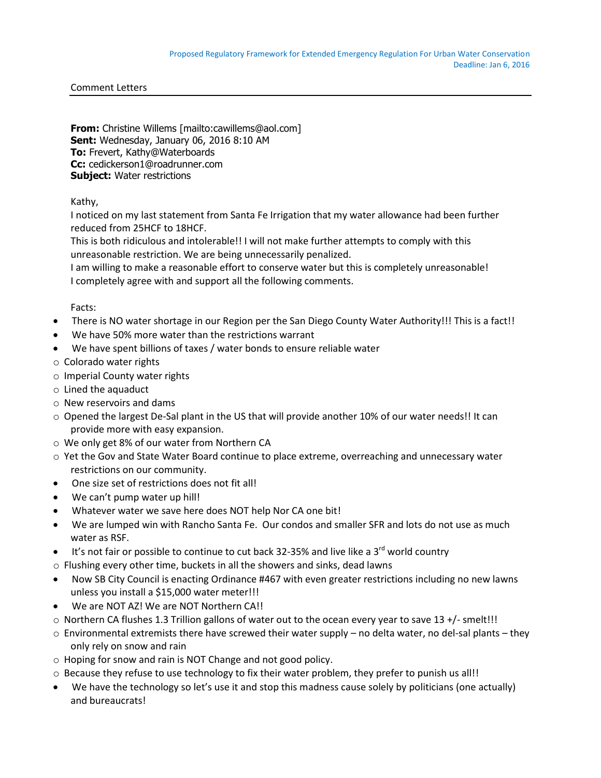## Comment Letters

**From:** Christine Willems [mailto:cawillems@aol.com] **Sent:** Wednesday, January 06, 2016 8:10 AM **To:** Frevert, Kathy@Waterboards **Cc:** cedickerson1@roadrunner.com **Subject:** Water restrictions

## Kathy,

I noticed on my last statement from Santa Fe Irrigation that my water allowance had been further reduced from 25HCF to 18HCF.

This is both ridiculous and intolerable!! I will not make further attempts to comply with this unreasonable restriction. We are being unnecessarily penalized.

I am willing to make a reasonable effort to conserve water but this is completely unreasonable! I completely agree with and support all the following comments.

## Facts:

- There is NO water shortage in our Region per the San Diego County Water Authority!!! This is a fact!!
- We have 50% more water than the restrictions warrant
- We have spent billions of taxes / water bonds to ensure reliable water
- o Colorado water rights
- o Imperial County water rights
- o Lined the aquaduct
- o New reservoirs and dams
- o Opened the largest De-Sal plant in the US that will provide another 10% of our water needs!! It can provide more with easy expansion.
- o We only get 8% of our water from Northern CA
- o Yet the Gov and State Water Board continue to place extreme, overreaching and unnecessary water restrictions on our community.
- One size set of restrictions does not fit all!
- We can't pump water up hill!
- Whatever water we save here does NOT help Nor CA one bit!
- We are lumped win with Rancho Santa Fe. Our condos and smaller SFR and lots do not use as much water as RSF.
- It's not fair or possible to continue to cut back 32-35% and live like a  $3^{rd}$  world country
- o Flushing every other time, buckets in all the showers and sinks, dead lawns
- Now SB City Council is enacting Ordinance #467 with even greater restrictions including no new lawns unless you install a \$15,000 water meter!!!
- We are NOT AZ! We are NOT Northern CA!!
- o Northern CA flushes 1.3 Trillion gallons of water out to the ocean every year to save 13 +/- smelt!!!
- $\circ$  Environmental extremists there have screwed their water supply no delta water, no del-sal plants they only rely on snow and rain
- o Hoping for snow and rain is NOT Change and not good policy.
- $\circ$  Because they refuse to use technology to fix their water problem, they prefer to punish us all!!
- We have the technology so let's use it and stop this madness cause solely by politicians (one actually) and bureaucrats!